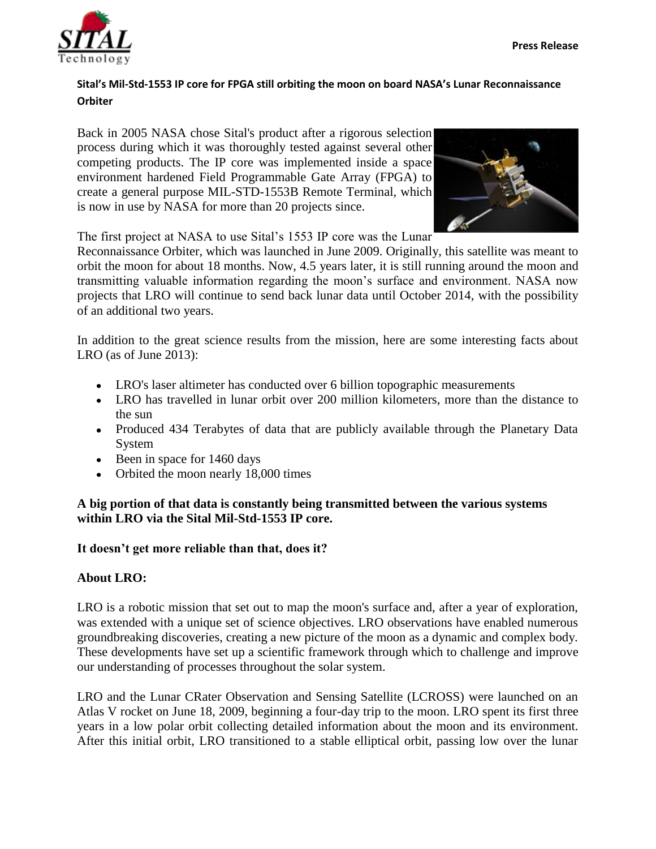

## **Sital's Mil-Std-1553 IP core for FPGA still orbiting the moon on board NASA's Lunar Reconnaissance Orbiter**

Back in 2005 NASA chose Sital's product after a rigorous selection process during which it was thoroughly tested against several other competing products. The IP core was implemented inside a space environment hardened Field Programmable Gate Array (FPGA) to create a general purpose MIL-STD-1553B Remote Terminal, which is now in use by NASA for more than 20 projects since.



The first project at NASA to use Sital's 1553 IP core was the Lunar

Reconnaissance Orbiter, which was launched in June 2009. Originally, this satellite was meant to orbit the moon for about 18 months. Now, 4.5 years later, it is still running around the moon and transmitting valuable information regarding the moon's surface and environment. NASA now projects that LRO will continue to send back lunar data until October 2014, with the possibility of an additional two years.

In addition to the great science results from the mission, here are some interesting facts about LRO (as of June 2013):

- LRO's laser altimeter has conducted over 6 billion topographic measurements
- LRO has travelled in lunar orbit over 200 million kilometers, more than the distance to the sun
- Produced 434 Terabytes of data that are publicly available through the Planetary Data System
- $\bullet$  Been in space for 1460 days
- Orbited the moon nearly 18,000 times

## **A big portion of that data is constantly being transmitted between the various systems within LRO via the Sital Mil-Std-1553 IP core.**

**It doesn't get more reliable than that, does it?**

## **About LRO:**

LRO is a robotic mission that set out to map the moon's surface and, after a year of exploration, was extended with a unique set of science objectives. LRO observations have enabled numerous groundbreaking discoveries, creating a new picture of the moon as a dynamic and complex body. These developments have set up a scientific framework through which to challenge and improve our understanding of processes throughout the solar system.

LRO and the Lunar CRater Observation and Sensing Satellite (LCROSS) were launched on an Atlas V rocket on June 18, 2009, beginning a four-day trip to the moon. LRO spent its first three years in a low polar orbit collecting detailed information about the moon and its environment. After this initial orbit, LRO transitioned to a stable elliptical orbit, passing low over the lunar